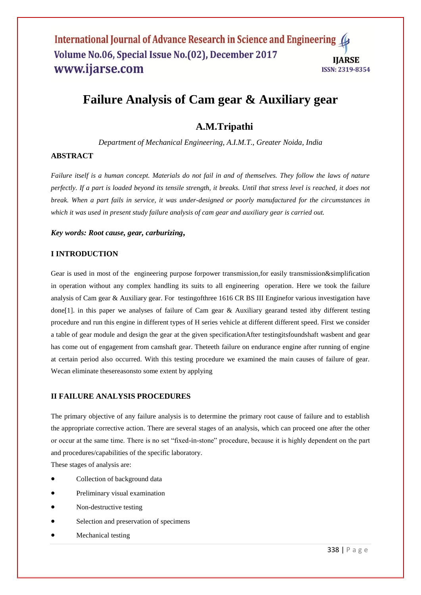# **Failure Analysis of Cam gear & Auxiliary gear**

## **A.M.Tripathi**

*Department of Mechanical Engineering, A.I.M.T., Greater Noida, India*

## **ABSTRACT**

*Failure itself is a human concept. Materials do not fail in and of themselves. They follow the laws of nature perfectly. If a part is loaded beyond its tensile strength, it breaks. Until that stress level is reached, it does not break. When a part fails in service, it was under-designed or poorly manufactured for the circumstances in which it was used in present study failure analysis of cam gear and auxiliary gear is carried out.*

#### *Key words: Root cause, gear, carburizing***,**

#### **I INTRODUCTION**

Gear is used in most of the engineering purpose forpower transmission,for easily transmission&simplification in operation without any complex handling its suits to all engineering operation. Here we took the failure analysis of Cam gear & Auxiliary gear. For testingofthree 1616 CR BS III Enginefor various investigation have done[1]. in this paper we analyses of failure of Cam gear & Auxiliary gearand tested itby different testing procedure and run this engine in different types of H series vehicle at different different speed. First we consider a table of gear module and design the gear at the given specificationAfter testingitsfoundshaft wasbent and gear has come out of engagement from camshaft gear. Theteeth failure on endurance engine after running of engine at certain period also occurred. With this testing procedure we examined the main causes of failure of gear. Wecan eliminate thesereasonsto some extent by applying

#### **II FAILURE ANALYSIS PROCEDURES**

The primary objective of any failure analysis is to determine the primary root cause of failure and to establish the appropriate corrective action. There are several stages of an analysis, which can proceed one after the other or occur at the same time. There is no set "fixed-in-stone" procedure, because it is highly dependent on the part and procedures/capabilities of the specific laboratory.

These stages of analysis are:

- Collection of background data
- Preliminary visual examination
- Non-destructive testing
- Selection and preservation of specimens
- Mechanical testing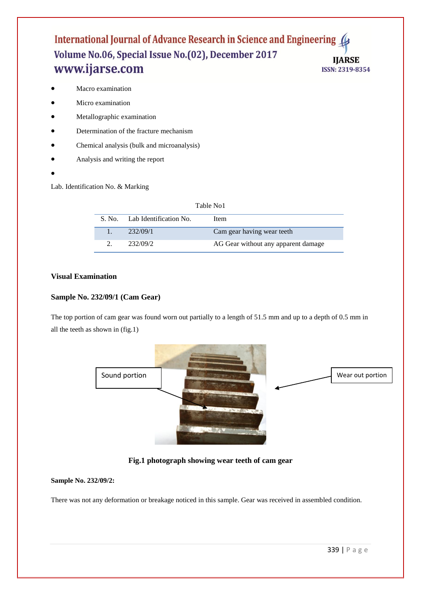#### International Journal of Advance Research in Science and Engineering 4 Volume No.06, Special Issue No.(02), December 2017 **IIARSE** www.ijarse.com ISSN: 2319-8354

- Macro examination
- Micro examination
- Metallographic examination
- Determination of the fracture mechanism
- Chemical analysis (bulk and microanalysis)
- Analysis and writing the report
- $\bullet$

Lab. Identification No. & Marking

| Table No1 |                               |                                     |  |  |  |
|-----------|-------------------------------|-------------------------------------|--|--|--|
|           | S. No. Lab Identification No. | Item                                |  |  |  |
|           | 232/09/1                      | Cam gear having wear teeth          |  |  |  |
|           | 232/09/2                      | AG Gear without any apparent damage |  |  |  |

## **Visual Examination**

#### **Sample No. 232/09/1 (Cam Gear)**

The top portion of cam gear was found worn out partially to a length of 51.5 mm and up to a depth of 0.5 mm in all the teeth as shown in (fig.1)



## **Fig.1 photograph showing wear teeth of cam gear**

#### **Sample No. 232/09/2:**

There was not any deformation or breakage noticed in this sample. Gear was received in assembled condition.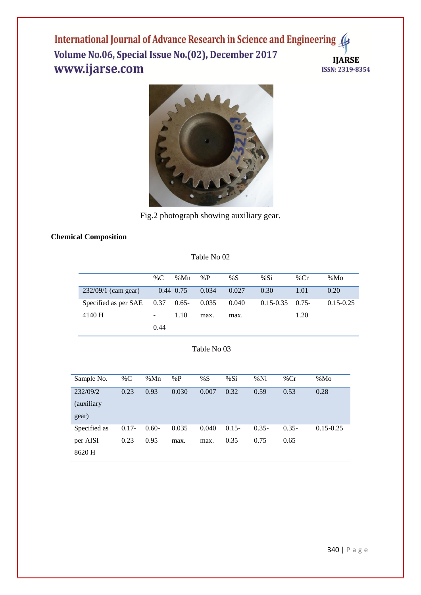International Journal of Advance Research in Science and Engineering 4 Volume No.06, Special Issue No.(02), December 2017 **IJARSE** www.ijarse.com ISSN: 2319-8354



Fig.2 photograph showing auxiliary gear.

## **Chemical Composition**

## Table No 02

|                                   | % $C$          | %Mn         | % $P$ | %S    | %Si                | % $Cr$ | %Mo           |
|-----------------------------------|----------------|-------------|-------|-------|--------------------|--------|---------------|
| $232/09/1$ (cam gear)             |                | $0.44$ 0.75 | 0.034 | 0.027 | 0.30               | 1.01   | 0.20          |
| Specified as per SAE $0.37$ 0.65- |                |             | 0.035 | 0.040 | $0.15 - 0.35$ 0.75 |        | $0.15 - 0.25$ |
| 4140 H                            | $\blacksquare$ | 1.10        | max.  | max.  |                    | 1.20   |               |
|                                   | 0.44           |             |       |       |                    |        |               |

#### Table No 03

| Sample No.   | % $C$    | %Mn     | %P    | %S    | %Si     | %Ni      | % $Cr$   | %Mo           |
|--------------|----------|---------|-------|-------|---------|----------|----------|---------------|
| 232/09/2     | 0.23     | 0.93    | 0.030 | 0.007 | 0.32    | 0.59     | 0.53     | 0.28          |
| (auxiliary)  |          |         |       |       |         |          |          |               |
| gear)        |          |         |       |       |         |          |          |               |
| Specified as | $0.17 -$ | $0.60-$ | 0.035 | 0.040 | $0.15-$ | $0.35 -$ | $0.35 -$ | $0.15 - 0.25$ |
| per AISI     | 0.23     | 0.95    | max.  | max.  | 0.35    | 0.75     | 0.65     |               |
| 8620 H       |          |         |       |       |         |          |          |               |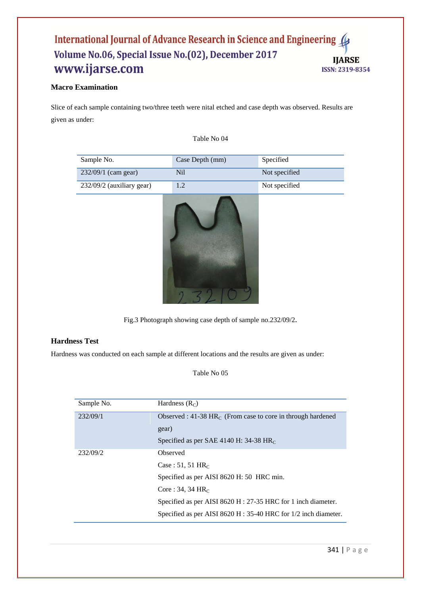#### International Journal of Advance Research in Science and Engineering Volume No.06, Special Issue No.(02), December 2017 **IJARSE** www.ijarse.com ISSN: 2319-8354

## **Macro Examination**

Slice of each sample containing two/three teeth were nital etched and case depth was observed. Results are given as under:

Table No 04

| Sample No.                | Case Depth (mm) | Specified     |
|---------------------------|-----------------|---------------|
| 232/09/1 (cam gear)       | Nil             | Not specified |
| 232/09/2 (auxiliary gear) | 1.2             | Not specified |
|                           |                 |               |

Fig.3 Photograph showing case depth of sample no.232/09/2.

## **Hardness Test**

Hardness was conducted on each sample at different locations and the results are given as under:

Table No 05

| Sample No. | Hardness $(R_C)$                                                    |
|------------|---------------------------------------------------------------------|
| 232/09/1   | Observed : 41-38 $HRC$ (From case to core in through hardened       |
|            | gear)                                                               |
|            | Specified as per SAE 4140 H: 34-38 $HRC$                            |
| 232/09/2   | Observed                                                            |
|            | Case: 51, 51 $HR_C$                                                 |
|            | Specified as per AISI 8620 H: 50 HRC min.                           |
|            | Core : 34, 34 $HR_C$                                                |
|            | Specified as per AISI 8620 H : 27-35 HRC for 1 inch diameter.       |
|            | Specified as per AISI 8620 H : $35-40$ HRC for $1/2$ inch diameter. |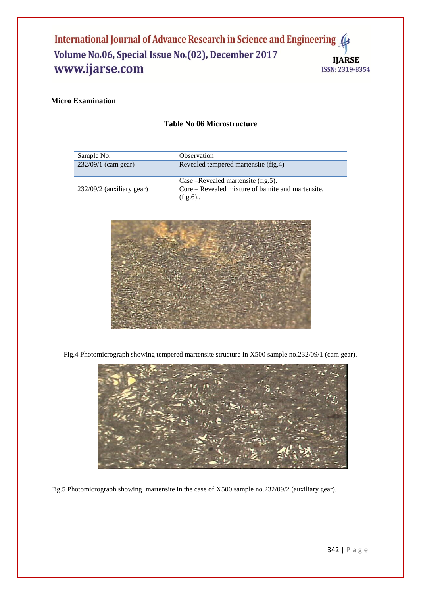#### International Journal of Advance Research in Science and Engineering 4 Volume No.06, Special Issue No.(02), December 2017 **IJARSE** www.ijarse.com ISSN: 2319-8354

## **Micro Examination**

#### **Table No 06 Microstructure**

| Sample No.                  | Observation                                                                                         |
|-----------------------------|-----------------------------------------------------------------------------------------------------|
| 232/09/1 (cam gear)         | Revealed tempered martensite (fig.4)                                                                |
| $232/09/2$ (auxiliary gear) | Case –Revealed martensite (fig.5).<br>Core – Revealed mixture of bainite and martensite.<br>$fig.6$ |



Fig.4 Photomicrograph showing tempered martensite structure in X500 sample no.232/09/1 (cam gear).



Fig.5 Photomicrograph showing martensite in the case of X500 sample no.232/09/2 (auxiliary gear).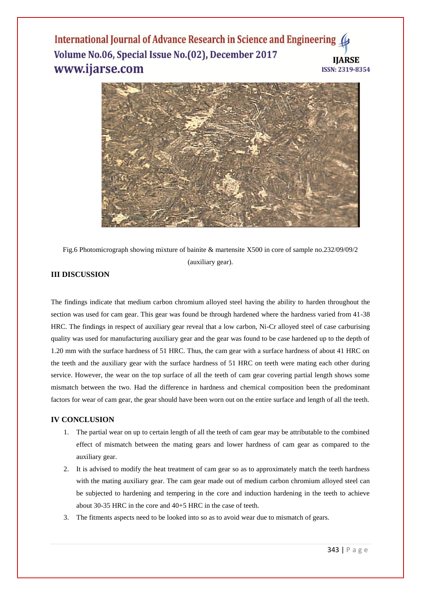#### International Journal of Advance Research in Science and Engineering ( Volume No.06, Special Issue No.(02), December 2017 **IIARSE** www.ijarse.com ISSN: 2319-8354



Fig.6 Photomicrograph showing mixture of bainite & martensite X500 in core of sample no.232/09/09/2 (auxiliary gear).

## **III DISCUSSION**

The findings indicate that medium carbon chromium alloyed steel having the ability to harden throughout the section was used for cam gear. This gear was found be through hardened where the hardness varied from 41-38 HRC. The findings in respect of auxiliary gear reveal that a low carbon, Ni-Cr alloyed steel of case carburising quality was used for manufacturing auxiliary gear and the gear was found to be case hardened up to the depth of 1.20 mm with the surface hardness of 51 HRC. Thus, the cam gear with a surface hardness of about 41 HRC on the teeth and the auxiliary gear with the surface hardness of 51 HRC on teeth were mating each other during service. However, the wear on the top surface of all the teeth of cam gear covering partial length shows some mismatch between the two. Had the difference in hardness and chemical composition been the predominant factors for wear of cam gear, the gear should have been worn out on the entire surface and length of all the teeth.

#### **IV CONCLUSION**

- 1. The partial wear on up to certain length of all the teeth of cam gear may be attributable to the combined effect of mismatch between the mating gears and lower hardness of cam gear as compared to the auxiliary gear.
- 2. It is advised to modify the heat treatment of cam gear so as to approximately match the teeth hardness with the mating auxiliary gear. The cam gear made out of medium carbon chromium alloyed steel can be subjected to hardening and tempering in the core and induction hardening in the teeth to achieve about 30-35 HRC in the core and 40+5 HRC in the case of teeth.
- 3. The fitments aspects need to be looked into so as to avoid wear due to mismatch of gears.